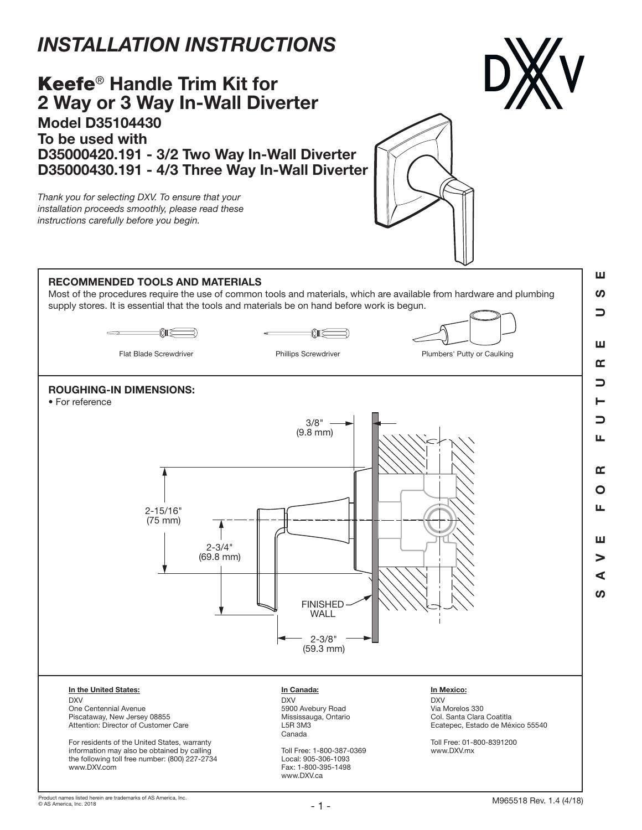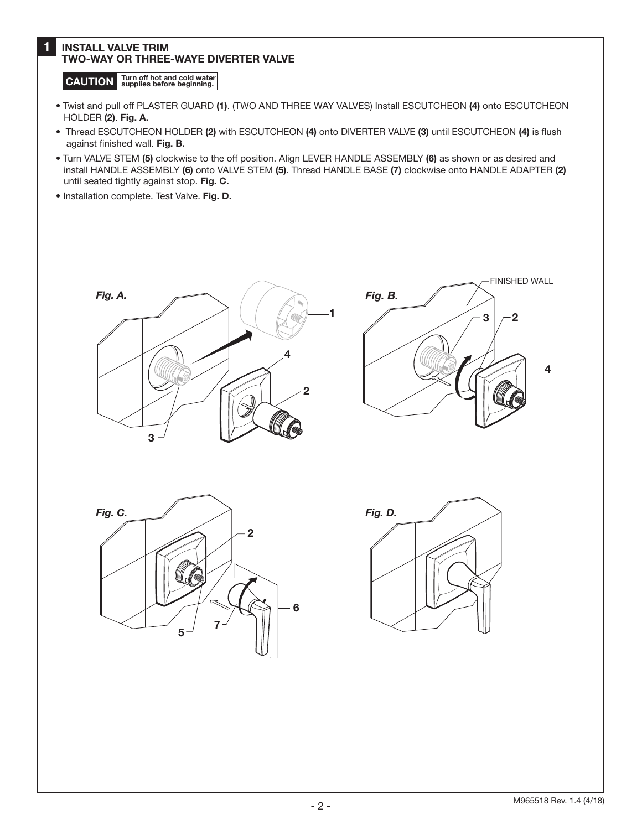## 1 INSTALL VALVE TRIM TWO-WAY OR THREE-WAYE DIVERTER VALVE

CAUTION Turn off hot and cold water

- Twist and pull off PLASTER GUARD (1). (TWO AND THREE WAY VALVES) Install ESCUTCHEON (4) onto ESCUTCHEON HOLDER (2). Fig. A.
- Thread ESCUTCHEON HOLDER (2) with ESCUTCHEON (4) onto DIVERTER VALVE (3) until ESCUTCHEON (4) is flush against finished wall. Fig. B.
- Turn VALVE STEM (5) clockwise to the off position. Align LEVER HANDLE ASSEMBLY (6) as shown or as desired and install HANDLE ASSEMBLY (6) onto VALVE STEM (5). Thread HANDLE BASE (7) clockwise onto HANDLE ADAPTER (2) until seated tightly against stop. Fig. C.
- Installation complete. Test Valve. Fig. D.